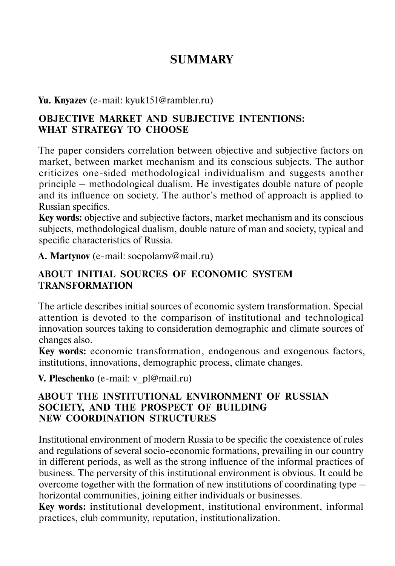# **SUMMARY**

**Yu. Knyazev** (e-mail: kyuk151@rambler.ru)

## **OBJECTIVE MARKET AND SUBJECTIVE INTENTIONS: WHAT STRATEGY TO CHOOSE**

The paper considers correlation between objective and subjective factors on market, between market mechanism and its conscious subjects. The author criticizes one-sided methodological individualism and suggests another principle – methodological dualism. He investigates double nature of people and its influence on society. The author's method of approach is applied to Russian specifics.

**Key words:** objective and subjective factors, market mechanism and its conscious subjects, methodological dualism, double nature of man and society, typical and specific characteristics of Russia.

**A. Martynov** (e-mail: socpolamv@mail.ru)

## **ABOUT INITIAL SOURCES OF ECONOMIC SYSTEM TRANSFORMATION**

The article describes initial sources of economic system transformation. Special attention is devoted to the comparison of institutional and technological innovation sources taking to consideration demographic and climate sources of changes also.

**Key words:** economic transformation, endogenous and exogenous factors, institutions, innovations, demographic process, climate changes.

**V. Pleschenko** (e-mail: v\_pl@mail.ru)

#### **ABOUT THE INSTITUTIONAL ENVIRONMENT OF RUSSIAN SOCIETY, AND THE PROSPECT OF BUILDING NEW COORDINATION STRUCTURES**

Institutional environment of modern Russia to be specific the coexistence of rules and regulations of several socio-economic formations, prevailing in our country in different periods, as well as the strong influence of the informal practices of business. The perversity of this institutional environment is obvious. It could be overcome together with the formation of new institutions of coordinating type – horizontal communities, joining either individuals or businesses.

**Key words:** institutional development, institutional environment, informal practices, club community, reputation, institutionalization.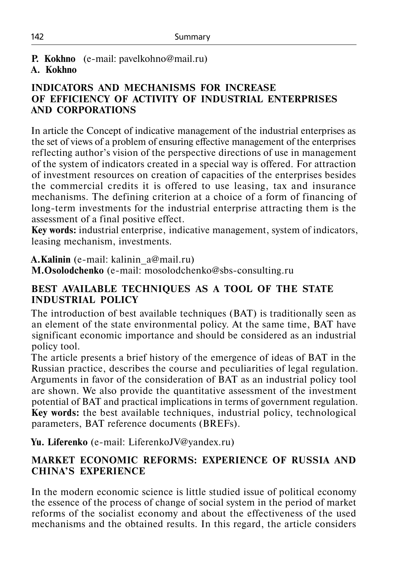## **P. Kokhno** (e-mail: pavelkohno@mail.ru)

#### **A. Kokhno**

## **INDICATORS AND MECHANISMS FOR INCREASE OF EFFICIENCY OF ACTIVITY OF INDUSTRIAL ENTERPRISES AND CORPORATIONS**

In article the Concept of indicative management of the industrial enterprises as the set of views of a problem of ensuring effective management of the enterprises reflecting author's vision of the perspective directions of use in management of the system of indicators created in a special way is offered. For attraction of investment resources on creation of capacities of the enterprises besides the commercial credits it is offered to use leasing, tax and insurance mechanisms. The defining criterion at a choice of a form of financing of long-term investments for the industrial enterprise attracting them is the assessment of a final positive effect.

**Key words:** industrial enterprise, indicative management, system of indicators, leasing mechanism, investments.

**A.Kalinin** (е-mail: kalinin\_a@mail.ru)

**M.Osolodchenko** (е-mail: mosolodchenko@sbs-consulting.ru

## **BEST AVAILABLE TECHNIQUES AS A TOOL OF THE STATE INDUSTRIAL POLICY**

The introduction of best available techniques (BAT) is traditionally seen as an element of the state environmental policy. At the same time, BAT have significant economic importance and should be considered as an industrial policy tool.

The article presents a brief history of the emergence of ideas of BAT in the Russian practice, describes the course and peculiarities of legal regulation. Arguments in favor of the consideration of BAT as an industrial policy tool are shown. We also provide the quantitative assessment of the investment potential of BAT and practical implications in terms of government regulation. **Key words:** the best available techniques, industrial policy, technological parameters, BAT reference documents (BREFs).

**Yu. Liferenko** (e-mail: LiferenkoJV@yandex.ru)

# **MARKET ECONOMIC REFORMS: EXPERIENCE OF RUSSIA AND CHINA'S EXPERIENCE**

In the modern economic science is little studied issue of political economy the essence of the process of change of social system in the period of market reforms of the socialist economy and about the effectiveness of the used mechanisms and the obtained results. In this regard, the article considers